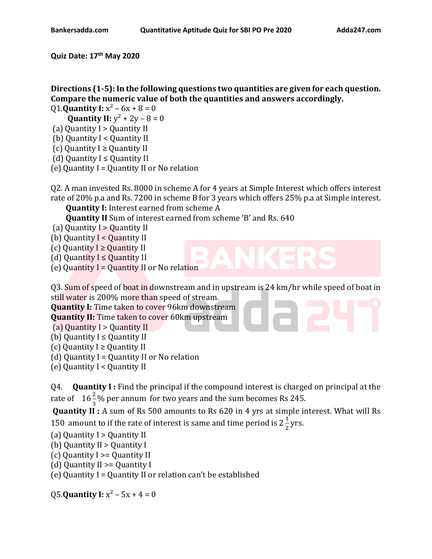**Quiz Date: 17th May 2020**

**Directions (1-5): In the following questions two quantities are given for each question. Compare the numeric value of both the quantities and answers accordingly.**

Q1.**Quantity I:**  $x^2 - 6x + 8 = 0$ 

**Quantity II:**  $y^2 + 2y - 8 = 0$ 

- (a) Quantity I > Quantity II
- (b) Quantity I < Quantity II
- (c) Quantity  $I \geq 0$ uantity II
- (d) Quantity  $I \le$  Quantity II
- (e) Quantity  $I =$  Quantity II or No relation

Q2. A man invested Rs. 8000 in scheme A for 4 years at Simple Interest which offers interest rate of 20% p.a and Rs. 7200 in scheme B for 3 years which offers 25% p.a at Simple interest.

**Quantity I:** Interest earned from scheme A

**Quantity II** Sum of interest earned from scheme 'B' and Rs. 640

- (a) Quantity I > Quantity II
- (b) Quantity I < Quantity II
- (c) Quantity  $I \geq$  Quantity II
- (d) Quantity  $I \leq$  Quantity II
- (e) Quantity  $I =$  Quantity II or No relation

Q3. Sum of speed of boat in downstream and in upstream is 24 km/hr while speed of boat in still water is 200% more than speed of stream.

**Quantity I:** Time taken to cover 96km downstream **Quantity II:** Time taken to cover 60km upstream

(a) Quantity I > Quantity II

(b) Quantity  $I \leq$  Quantity II

- (c) Quantity  $I \geq$  Quantity II
- (d) Quantity  $I =$  Quantity II or No relation
- (e) Quantity I < Quantity II

Q4. **Quantity I :** Find the principal if the compound interest is charged on principal at the rate of  $-16\frac{2}{3}$ % per annum for two years and the sum becomes Rs 245.

**Quantity II :** A sum of Rs 500 amounts to Rs 620 in 4 yrs at simple interest. What will Rs 150 amount to if the rate of interest is same and time period is  $2\frac{1}{3}$  $\frac{1}{2}$  yrs.

- (a) Quantity I > Quantity II
- (b) Quantity II > Quantity I
- (c) Quantity I >= Quantity II
- (d) Quantity II >= Quantity I

(e) Quantity I = Quantity II or relation can't be established

**Q5.Quantity I:**  $x^2 - 5x + 4 = 0$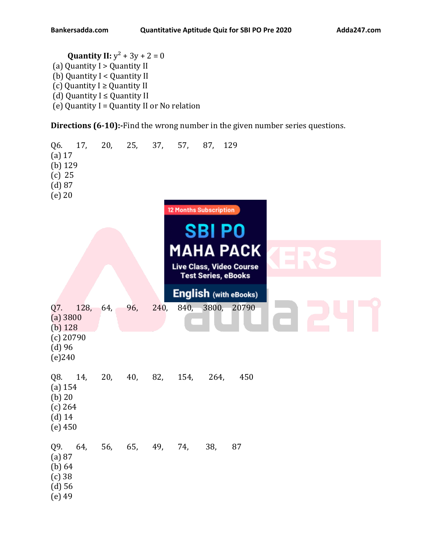**Quantity II:**  $y^2 + 3y + 2 = 0$ (a) Quantity I > Quantity II (b) Quantity I < Quantity II (c) Quantity  $I \geq$  Quantity II (d) Quantity  $I \le$  Quantity II (e) Quantity  $I =$  Quantity II or No relation

**Directions (6-10):-**Find the wrong number in the given number series questions.

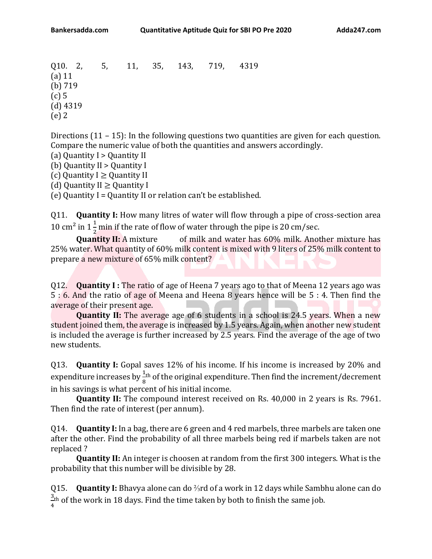Q10. 2, 5, 11, 35, 143, 719, 4319 (a) 11 (b) 719 (c) 5 (d) 4319 (e) 2

Directions (11 – 15): In the following questions two quantities are given for each question. Compare the numeric value of both the quantities and answers accordingly.

(a) Quantity I > Quantity II

(b) Quantity II > Quantity I

(c) Quantity  $I \geq 0$ uantity II

(d) Quantity  $II \geq$  Quantity I

(e) Quantity I = Quantity II or relation can't be established.

Q11. **Quantity I:** How many litres of water will flow through a pipe of cross-section area 10 cm<sup>2</sup> in  $1\frac{1}{2}$  $\frac{1}{2}$  min if the rate of flow of water through the pipe is 20 cm/sec.

**Quantity II:** A mixture of milk and water has 60% milk. Another mixture has 25% water. What quantity of 60% milk content is mixed with 9 liters of 25% milk content to prepare a new mixture of 65% milk content?

Q12. **Quantity I :** The ratio of age of Heena 7 years ago to that of Meena 12 years ago was 5 : 6. And the ratio of age of Meena and Heena 8 years hence will be 5 : 4. Then find the average of their present age.

**Quantity II:** The average age of 6 students in a school is 24.5 years. When a new student joined them, the average is increased by 1.5 years. Again, when another new student is included the average is further increased by 2.5 years. Find the average of the age of two new students.

Q13. **Quantity I:** Gopal saves 12% of his income. If his income is increased by 20% and expenditure increases by  $\frac{1}{8}$ th of the original expenditure. Then find the increment/decrement in his savings is what percent of his initial income.

**Quantity II:** The compound interest received on Rs. 40,000 in 2 years is Rs. 7961. Then find the rate of interest (per annum).

Q14. **Quantity I:** In a bag, there are 6 green and 4 red marbels, three marbels are taken one after the other. Find the probability of all three marbels being red if marbels taken are not replaced ?

**Quantity II:** An integer is choosen at random from the first 300 integers. What is the probability that this number will be divisible by 28.

Q15. **Quantity I:** Bhavya alone can do ⅔rd of a work in 12 days while Sambhu alone can do 3  $\frac{3 \text{th}}{4}$  of the work in 18 days. Find the time taken by both to finish the same job.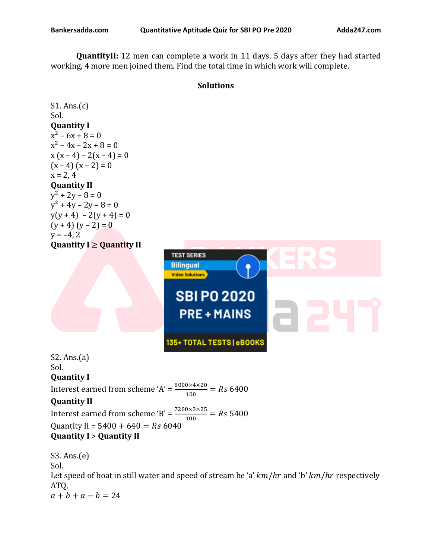**QuantityII:** 12 men can complete a work in 11 days. 5 days after they had started working, 4 more men joined them. Find the total time in which work will complete.

## **Solutions**

S1. Ans.(c) Sol. **Quantity I**   $x^2 - 6x + 8 = 0$  $x^2 - 4x - 2x + 8 = 0$  $x (x-4) - 2(x-4) = 0$  $(x - 4)(x - 2) = 0$  $x = 2, 4$ **Quantity II**  $y^2 + 2y - 8 = 0$  $y^2 + 4y - 2y - 8 = 0$  $y(y + 4) - 2(y + 4) = 0$  $(y + 4) (y - 2) = 0$  $y = -4, 2$ **Quantity I** ≥ **Quantity II**



S2. Ans.(a) Sol. **Quantity I**  Interest earned from scheme 'A' =  $\frac{8000 \times 4 \times 20}{100}$  = Rs 6400 **Quantity II** Interest earned from scheme 'B' =  $\frac{7200\times3\times25}{100}$  = Rs 5400 Quantity II =  $5400 + 640 = Rs 6040$ **Quantity I** > **Quantity II**

S3. Ans.(e) Sol. Let speed of boat in still water and speed of stream be 'a'  $km/hr$  and 'b'  $km/hr$  respectively ATQ,  $a + b + a - b = 24$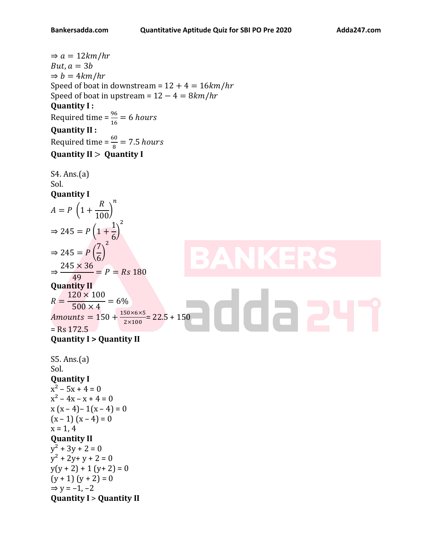$\Rightarrow$  a = 12km/hr  $But, a = 3b$  $\Rightarrow b = 4km/hr$ Speed of boat in downstream =  $12 + 4 = 16km/hr$ Speed of boat in upstream =  $12 - 4 = 8km/hr$ **Quantity I :**  Required time =  $\frac{96}{16}$  = 6 hours **Quantity II :**  Required time =  $\frac{60}{8}$  = 7.5 hours **Quantity II** > **Quantity I** S4. Ans.(a) Sol. **Quantity I**  $\boldsymbol{n}$  $\overline{R}$  $A = P(1 +$  $\frac{1}{100}$ 2 1  $\Rightarrow$  245 =  $P(1 +$ ) 6 2 7  $\Rightarrow$  245 =  $P($ ) 6  $245 \times 36$ ⇒  $\frac{18480}{49}$  = P = Rs 180 **Quantity II**  $120 \times 100$ daa  $R =$  $= 6\%$  $500 \times 4$ Amounts =  $150 + \frac{150 \times 6 \times 5}{3 \times 400}$  $\frac{30\times6\times3}{2\times100}$  = 22.5 + 150  $=$  Rs 172.5 **Quantity I > Quantity II** S5. Ans.(a) Sol. **Quantity I**   $x^2 - 5x + 4 = 0$  $x^2 - 4x - x + 4 = 0$  $x(x-4)-1(x-4)=0$  $(x - 1)(x - 4) = 0$  $x = 1, 4$ **Quantity II**  $y^2$  + 3y + 2 = 0  $y^2 + 2y + y + 2 = 0$  $y(y + 2) + 1 (y + 2) = 0$  $(y + 1)(y + 2) = 0$  $\Rightarrow$  y = -1, -2 **Quantity I** > **Quantity II**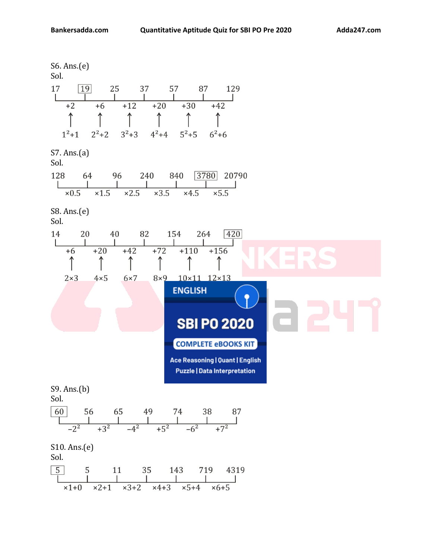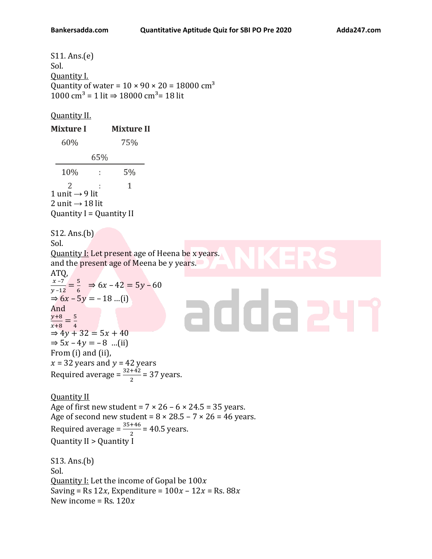S11. Ans.(e) Sol. Quantity I. Quantity of water = 10 × 90 × 20 = 18000  $\rm cm^3$ 1000 cm<sup>3</sup> = 1 lit ⇒ 18000 cm<sup>3</sup>= 18 lit

## Quantity II.

| <b>Mixture I</b>                                                                                                                                                      | <b>Mixture II</b>                                                                                                                                     |                                                                                                                                               |
|-----------------------------------------------------------------------------------------------------------------------------------------------------------------------|-------------------------------------------------------------------------------------------------------------------------------------------------------|-----------------------------------------------------------------------------------------------------------------------------------------------|
| 60%                                                                                                                                                                   | 75%                                                                                                                                                   |                                                                                                                                               |
|                                                                                                                                                                       | 65%                                                                                                                                                   |                                                                                                                                               |
| 10%                                                                                                                                                                   | 5%<br>÷,                                                                                                                                              |                                                                                                                                               |
| 2<br>1 unit $\rightarrow$ 9 lit<br>2 unit $\rightarrow$ 18 lit<br>Quantity $I =$ Quantity II                                                                          | $\mathbf{1}$                                                                                                                                          |                                                                                                                                               |
| S12. Ans.(b)                                                                                                                                                          |                                                                                                                                                       |                                                                                                                                               |
| Sol.<br>ATQ,                                                                                                                                                          | and the present age of Meena be y years.                                                                                                              | <b>Quantity I:</b> Let present age of Heena be x years.                                                                                       |
| $\Rightarrow$ 6x - 5y = -18 (i)<br>And<br>$\frac{y+8}{x+8} = \frac{5}{4}$<br>$\Rightarrow 4y + 32 = 5x + 40$<br>$\Rightarrow$ 5x - 4y = -8 (ii)<br>From (i) and (ii), | $\frac{x-7}{y-12} = \frac{5}{6}$ $\Rightarrow 6x-42 = 5y-60$<br>$x = 32$ years and $y = 42$ years<br>Required average = $\frac{32+42}{2}$ = 37 years. | aoga                                                                                                                                          |
| <b>Quantity II</b><br>Quantity II > Quantity I                                                                                                                        | Required average = $\frac{35+46}{2}$ = 40.5 years.                                                                                                    | Age of first new student = $7 \times 26 - 6 \times 24.5 = 35$ years.<br>Age of second new student = $8 \times 28.5 - 7 \times 26 = 46$ years. |
| S13. Ans.(b)<br>Sol.<br>New income = Rs. $120x$                                                                                                                       | Quantity I: Let the income of Gopal be $100x$                                                                                                         | Saving = Rs 12x, Expenditure = $100x - 12x =$ Rs. 88x                                                                                         |